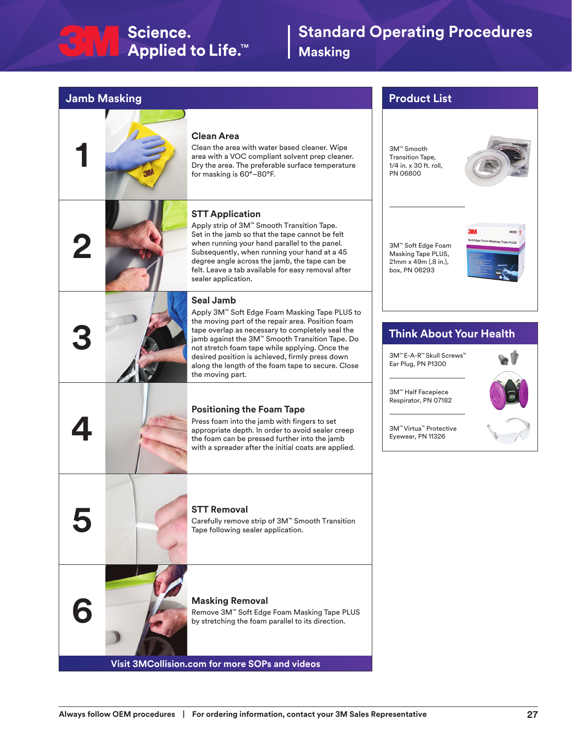# $\begin{array}{|c|c|c|}\n\hline\n\end{array}$  Science. Applied to Life.<sup>™</sup>

# **Standard Operating Procedures Masking**

## **Jamb Masking**



### **Clean Area**

Clean the area with water based cleaner. Wipe area with a VOC compliant solvent prep cleaner. Dry the area. The preferable surface temperature for masking is 60°–80°F.

## **STT Application**

Apply strip of 3M™ Smooth Transition Tape. Set in the jamb so that the tape cannot be felt when running your hand parallel to the panel. Subsequently, when running your hand at a 45 degree angle across the jamb, the tape can be felt. Leave a tab available for easy removal after sealer application.

### **Seal Jamb**

Apply 3M™ Soft Edge Foam Masking Tape PLUS to the moving part of the repair area. Position foam tape overlap as necessary to completely seal the jamb against the 3M™ Smooth Transition Tape. Do not stretch foam tape while applying. Once the desired position is achieved, firmly press down along the length of the foam tape to secure. Close the moving part.

### **Positioning the Foam Tape**

Press foam into the jamb with fingers to set appropriate depth. In order to avoid sealer creep the foam can be pressed further into the jamb with a spreader after the initial coats are applied.

**5 STT Removal**<br>Carefully remove<br>Tape following se Carefully remove strip of 3M™ Smooth Transition Tape following sealer application.

**6 Masking Removal**<br>**Remove 3M<sup>n</sup> Soft Edge<br>by stretching the foam** Remove 3M™ Soft Edge Foam Masking Tape PLUS by stretching the foam parallel to its direction.

**Visit 3MCollision.com for more SOPs and videos**

## **Product List**

3M™ Smooth Transition Tape, 1/4 in. x 30 ft. roll, PN 06800



3M™ Soft Edge Foam Masking Tape PLUS, 21mm x 49m (.8 in.), box, PN 06293



# **Think About Your Health**

3M™ E-A-R™ Skull Screws™ Ear Plug, PN P1300



3M™ Virtua™ Protective Eyewear, PN 11326

3M™ Half Facepiece Respirator, PN 07182